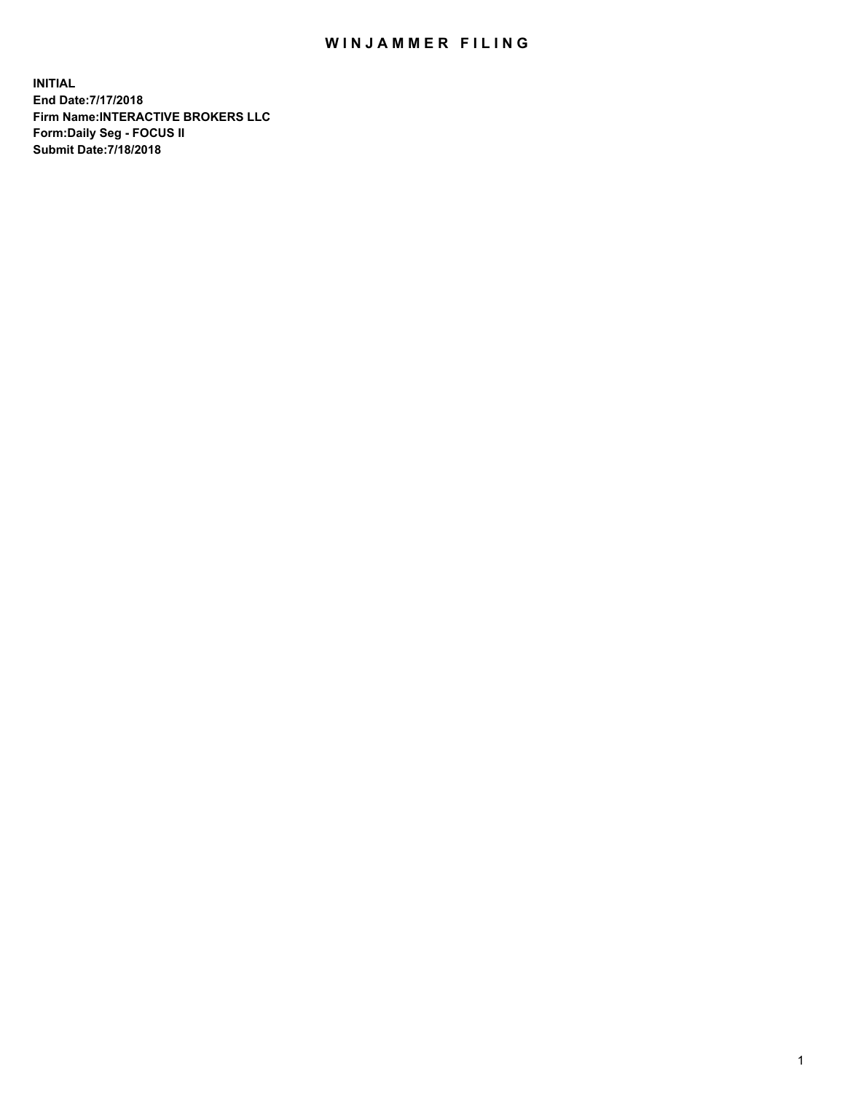## WIN JAMMER FILING

**INITIAL End Date:7/17/2018 Firm Name:INTERACTIVE BROKERS LLC Form:Daily Seg - FOCUS II Submit Date:7/18/2018**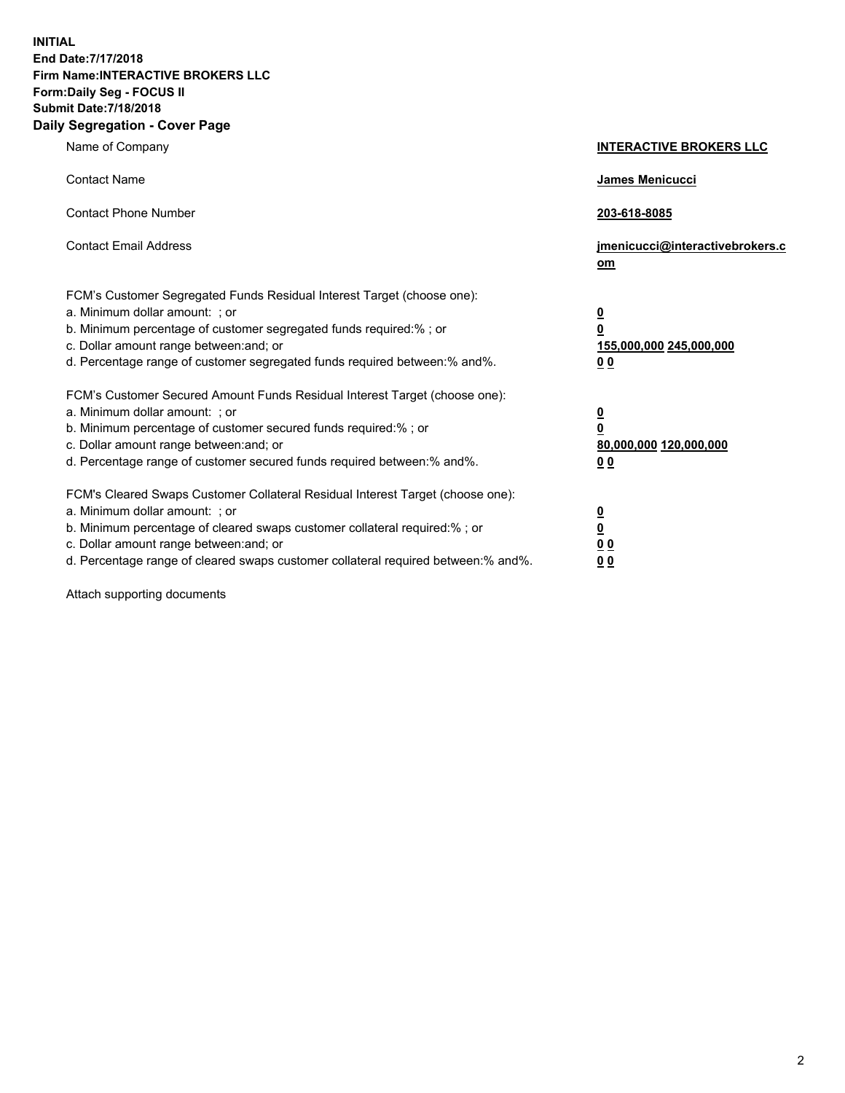**INITIAL End Date:7/17/2018 Firm Name:INTERACTIVE BROKERS LLC Form:Daily Seg - FOCUS II Submit Date:7/18/2018 Daily Segregation - Cover Page**

| Name of Company                                                                                                                                                                                                                                                                                                                | <b>INTERACTIVE BROKERS LLC</b>                                                  |
|--------------------------------------------------------------------------------------------------------------------------------------------------------------------------------------------------------------------------------------------------------------------------------------------------------------------------------|---------------------------------------------------------------------------------|
| <b>Contact Name</b>                                                                                                                                                                                                                                                                                                            | James Menicucci                                                                 |
| <b>Contact Phone Number</b>                                                                                                                                                                                                                                                                                                    | 203-618-8085                                                                    |
| <b>Contact Email Address</b>                                                                                                                                                                                                                                                                                                   | jmenicucci@interactivebrokers.c<br>om                                           |
| FCM's Customer Segregated Funds Residual Interest Target (choose one):<br>a. Minimum dollar amount: ; or<br>b. Minimum percentage of customer segregated funds required:% ; or<br>c. Dollar amount range between: and; or<br>d. Percentage range of customer segregated funds required between: % and %.                       | $\overline{\mathbf{0}}$<br>0<br>155,000,000 245,000,000<br>0 <sub>0</sub>       |
| FCM's Customer Secured Amount Funds Residual Interest Target (choose one):<br>a. Minimum dollar amount: ; or<br>b. Minimum percentage of customer secured funds required:%; or<br>c. Dollar amount range between: and; or<br>d. Percentage range of customer secured funds required between:% and%.                            | <u>0</u><br>$\overline{\mathbf{0}}$<br>80,000,000 120,000,000<br>0 <sub>0</sub> |
| FCM's Cleared Swaps Customer Collateral Residual Interest Target (choose one):<br>a. Minimum dollar amount: ; or<br>b. Minimum percentage of cleared swaps customer collateral required:% ; or<br>c. Dollar amount range between: and; or<br>d. Percentage range of cleared swaps customer collateral required between:% and%. | $\frac{0}{0}$<br>$\underline{0}$ $\underline{0}$<br>0 <sub>0</sub>              |

Attach supporting documents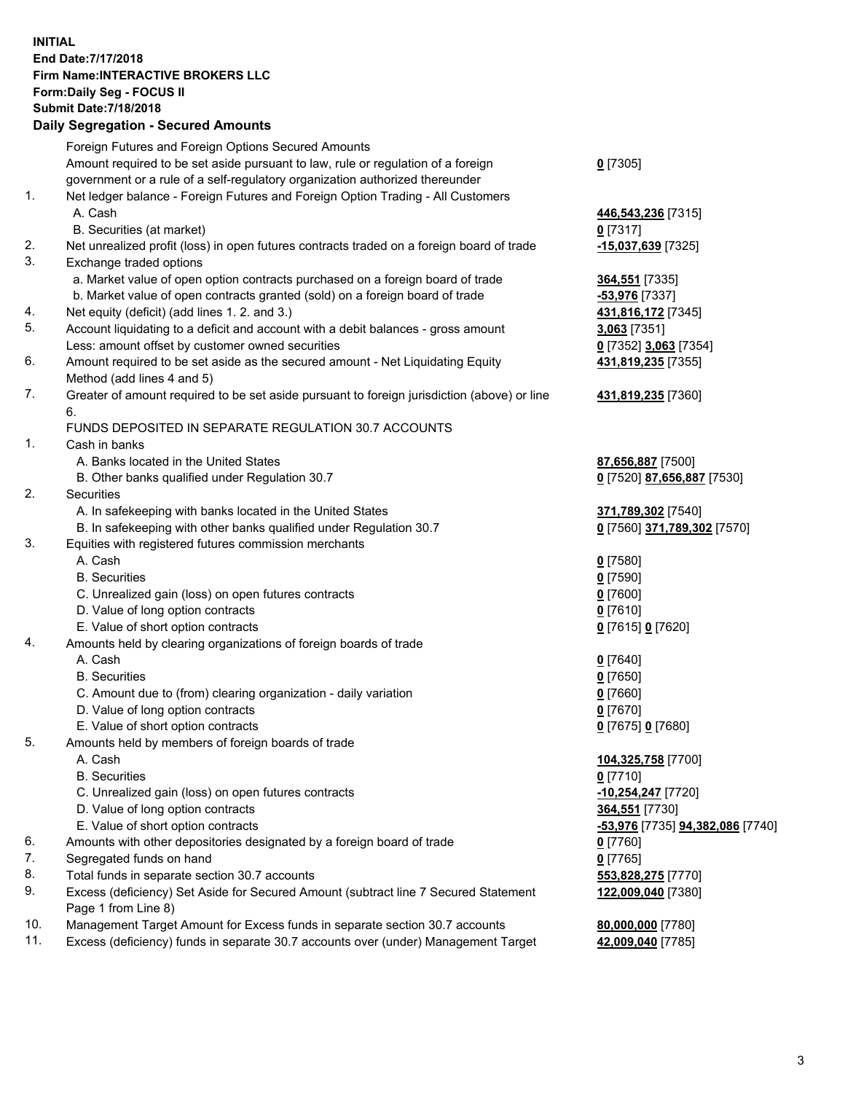## **INITIAL End Date:7/17/2018 Firm Name:INTERACTIVE BROKERS LLC Form:Daily Seg - FOCUS II Submit Date:7/18/2018 Daily Segregation - Secured Amounts**

| Daily Ocglegation - Occarea Anioants                                                      |                                                                                                                                                                                                                                                                                                                                                                                                                                                                                                                                                                                                                                                                                                                                                                                                                                                                                                                                                                                                                                                                                                                                                                                                                                                                                                                                                                                                                                                                                                                                                                                                                                                                                                                                                                                                                                                                                                                                                                                                                                                      |
|-------------------------------------------------------------------------------------------|------------------------------------------------------------------------------------------------------------------------------------------------------------------------------------------------------------------------------------------------------------------------------------------------------------------------------------------------------------------------------------------------------------------------------------------------------------------------------------------------------------------------------------------------------------------------------------------------------------------------------------------------------------------------------------------------------------------------------------------------------------------------------------------------------------------------------------------------------------------------------------------------------------------------------------------------------------------------------------------------------------------------------------------------------------------------------------------------------------------------------------------------------------------------------------------------------------------------------------------------------------------------------------------------------------------------------------------------------------------------------------------------------------------------------------------------------------------------------------------------------------------------------------------------------------------------------------------------------------------------------------------------------------------------------------------------------------------------------------------------------------------------------------------------------------------------------------------------------------------------------------------------------------------------------------------------------------------------------------------------------------------------------------------------------|
| Foreign Futures and Foreign Options Secured Amounts                                       |                                                                                                                                                                                                                                                                                                                                                                                                                                                                                                                                                                                                                                                                                                                                                                                                                                                                                                                                                                                                                                                                                                                                                                                                                                                                                                                                                                                                                                                                                                                                                                                                                                                                                                                                                                                                                                                                                                                                                                                                                                                      |
| Amount required to be set aside pursuant to law, rule or regulation of a foreign          | $0$ [7305]                                                                                                                                                                                                                                                                                                                                                                                                                                                                                                                                                                                                                                                                                                                                                                                                                                                                                                                                                                                                                                                                                                                                                                                                                                                                                                                                                                                                                                                                                                                                                                                                                                                                                                                                                                                                                                                                                                                                                                                                                                           |
| government or a rule of a self-regulatory organization authorized thereunder              |                                                                                                                                                                                                                                                                                                                                                                                                                                                                                                                                                                                                                                                                                                                                                                                                                                                                                                                                                                                                                                                                                                                                                                                                                                                                                                                                                                                                                                                                                                                                                                                                                                                                                                                                                                                                                                                                                                                                                                                                                                                      |
| Net ledger balance - Foreign Futures and Foreign Option Trading - All Customers           |                                                                                                                                                                                                                                                                                                                                                                                                                                                                                                                                                                                                                                                                                                                                                                                                                                                                                                                                                                                                                                                                                                                                                                                                                                                                                                                                                                                                                                                                                                                                                                                                                                                                                                                                                                                                                                                                                                                                                                                                                                                      |
| A. Cash                                                                                   | 446,543,236 [7315]                                                                                                                                                                                                                                                                                                                                                                                                                                                                                                                                                                                                                                                                                                                                                                                                                                                                                                                                                                                                                                                                                                                                                                                                                                                                                                                                                                                                                                                                                                                                                                                                                                                                                                                                                                                                                                                                                                                                                                                                                                   |
| B. Securities (at market)                                                                 | $0$ [7317]                                                                                                                                                                                                                                                                                                                                                                                                                                                                                                                                                                                                                                                                                                                                                                                                                                                                                                                                                                                                                                                                                                                                                                                                                                                                                                                                                                                                                                                                                                                                                                                                                                                                                                                                                                                                                                                                                                                                                                                                                                           |
| Net unrealized profit (loss) in open futures contracts traded on a foreign board of trade | -15,037,639 [7325]                                                                                                                                                                                                                                                                                                                                                                                                                                                                                                                                                                                                                                                                                                                                                                                                                                                                                                                                                                                                                                                                                                                                                                                                                                                                                                                                                                                                                                                                                                                                                                                                                                                                                                                                                                                                                                                                                                                                                                                                                                   |
| Exchange traded options                                                                   |                                                                                                                                                                                                                                                                                                                                                                                                                                                                                                                                                                                                                                                                                                                                                                                                                                                                                                                                                                                                                                                                                                                                                                                                                                                                                                                                                                                                                                                                                                                                                                                                                                                                                                                                                                                                                                                                                                                                                                                                                                                      |
|                                                                                           | 364,551 [7335]                                                                                                                                                                                                                                                                                                                                                                                                                                                                                                                                                                                                                                                                                                                                                                                                                                                                                                                                                                                                                                                                                                                                                                                                                                                                                                                                                                                                                                                                                                                                                                                                                                                                                                                                                                                                                                                                                                                                                                                                                                       |
|                                                                                           | -53,976 [7337]                                                                                                                                                                                                                                                                                                                                                                                                                                                                                                                                                                                                                                                                                                                                                                                                                                                                                                                                                                                                                                                                                                                                                                                                                                                                                                                                                                                                                                                                                                                                                                                                                                                                                                                                                                                                                                                                                                                                                                                                                                       |
|                                                                                           | 431,816,172 [7345]                                                                                                                                                                                                                                                                                                                                                                                                                                                                                                                                                                                                                                                                                                                                                                                                                                                                                                                                                                                                                                                                                                                                                                                                                                                                                                                                                                                                                                                                                                                                                                                                                                                                                                                                                                                                                                                                                                                                                                                                                                   |
|                                                                                           | 3,063 [7351]                                                                                                                                                                                                                                                                                                                                                                                                                                                                                                                                                                                                                                                                                                                                                                                                                                                                                                                                                                                                                                                                                                                                                                                                                                                                                                                                                                                                                                                                                                                                                                                                                                                                                                                                                                                                                                                                                                                                                                                                                                         |
|                                                                                           | 0 [7352] 3,063 [7354]                                                                                                                                                                                                                                                                                                                                                                                                                                                                                                                                                                                                                                                                                                                                                                                                                                                                                                                                                                                                                                                                                                                                                                                                                                                                                                                                                                                                                                                                                                                                                                                                                                                                                                                                                                                                                                                                                                                                                                                                                                |
|                                                                                           | 431,819,235 [7355]                                                                                                                                                                                                                                                                                                                                                                                                                                                                                                                                                                                                                                                                                                                                                                                                                                                                                                                                                                                                                                                                                                                                                                                                                                                                                                                                                                                                                                                                                                                                                                                                                                                                                                                                                                                                                                                                                                                                                                                                                                   |
|                                                                                           |                                                                                                                                                                                                                                                                                                                                                                                                                                                                                                                                                                                                                                                                                                                                                                                                                                                                                                                                                                                                                                                                                                                                                                                                                                                                                                                                                                                                                                                                                                                                                                                                                                                                                                                                                                                                                                                                                                                                                                                                                                                      |
|                                                                                           | 431,819,235 [7360]                                                                                                                                                                                                                                                                                                                                                                                                                                                                                                                                                                                                                                                                                                                                                                                                                                                                                                                                                                                                                                                                                                                                                                                                                                                                                                                                                                                                                                                                                                                                                                                                                                                                                                                                                                                                                                                                                                                                                                                                                                   |
| 6.                                                                                        |                                                                                                                                                                                                                                                                                                                                                                                                                                                                                                                                                                                                                                                                                                                                                                                                                                                                                                                                                                                                                                                                                                                                                                                                                                                                                                                                                                                                                                                                                                                                                                                                                                                                                                                                                                                                                                                                                                                                                                                                                                                      |
|                                                                                           |                                                                                                                                                                                                                                                                                                                                                                                                                                                                                                                                                                                                                                                                                                                                                                                                                                                                                                                                                                                                                                                                                                                                                                                                                                                                                                                                                                                                                                                                                                                                                                                                                                                                                                                                                                                                                                                                                                                                                                                                                                                      |
|                                                                                           |                                                                                                                                                                                                                                                                                                                                                                                                                                                                                                                                                                                                                                                                                                                                                                                                                                                                                                                                                                                                                                                                                                                                                                                                                                                                                                                                                                                                                                                                                                                                                                                                                                                                                                                                                                                                                                                                                                                                                                                                                                                      |
|                                                                                           | 87,656,887 [7500]                                                                                                                                                                                                                                                                                                                                                                                                                                                                                                                                                                                                                                                                                                                                                                                                                                                                                                                                                                                                                                                                                                                                                                                                                                                                                                                                                                                                                                                                                                                                                                                                                                                                                                                                                                                                                                                                                                                                                                                                                                    |
|                                                                                           | 0 [7520] 87,656,887 [7530]                                                                                                                                                                                                                                                                                                                                                                                                                                                                                                                                                                                                                                                                                                                                                                                                                                                                                                                                                                                                                                                                                                                                                                                                                                                                                                                                                                                                                                                                                                                                                                                                                                                                                                                                                                                                                                                                                                                                                                                                                           |
|                                                                                           |                                                                                                                                                                                                                                                                                                                                                                                                                                                                                                                                                                                                                                                                                                                                                                                                                                                                                                                                                                                                                                                                                                                                                                                                                                                                                                                                                                                                                                                                                                                                                                                                                                                                                                                                                                                                                                                                                                                                                                                                                                                      |
|                                                                                           | 371,789,302 [7540]                                                                                                                                                                                                                                                                                                                                                                                                                                                                                                                                                                                                                                                                                                                                                                                                                                                                                                                                                                                                                                                                                                                                                                                                                                                                                                                                                                                                                                                                                                                                                                                                                                                                                                                                                                                                                                                                                                                                                                                                                                   |
|                                                                                           | 0 [7560] 371,789,302 [7570]                                                                                                                                                                                                                                                                                                                                                                                                                                                                                                                                                                                                                                                                                                                                                                                                                                                                                                                                                                                                                                                                                                                                                                                                                                                                                                                                                                                                                                                                                                                                                                                                                                                                                                                                                                                                                                                                                                                                                                                                                          |
|                                                                                           |                                                                                                                                                                                                                                                                                                                                                                                                                                                                                                                                                                                                                                                                                                                                                                                                                                                                                                                                                                                                                                                                                                                                                                                                                                                                                                                                                                                                                                                                                                                                                                                                                                                                                                                                                                                                                                                                                                                                                                                                                                                      |
|                                                                                           | $0$ [7580]                                                                                                                                                                                                                                                                                                                                                                                                                                                                                                                                                                                                                                                                                                                                                                                                                                                                                                                                                                                                                                                                                                                                                                                                                                                                                                                                                                                                                                                                                                                                                                                                                                                                                                                                                                                                                                                                                                                                                                                                                                           |
|                                                                                           | $0$ [7590]                                                                                                                                                                                                                                                                                                                                                                                                                                                                                                                                                                                                                                                                                                                                                                                                                                                                                                                                                                                                                                                                                                                                                                                                                                                                                                                                                                                                                                                                                                                                                                                                                                                                                                                                                                                                                                                                                                                                                                                                                                           |
|                                                                                           | $0$ [7600]                                                                                                                                                                                                                                                                                                                                                                                                                                                                                                                                                                                                                                                                                                                                                                                                                                                                                                                                                                                                                                                                                                                                                                                                                                                                                                                                                                                                                                                                                                                                                                                                                                                                                                                                                                                                                                                                                                                                                                                                                                           |
|                                                                                           | $0$ [7610]                                                                                                                                                                                                                                                                                                                                                                                                                                                                                                                                                                                                                                                                                                                                                                                                                                                                                                                                                                                                                                                                                                                                                                                                                                                                                                                                                                                                                                                                                                                                                                                                                                                                                                                                                                                                                                                                                                                                                                                                                                           |
|                                                                                           | 0 [7615] 0 [7620]                                                                                                                                                                                                                                                                                                                                                                                                                                                                                                                                                                                                                                                                                                                                                                                                                                                                                                                                                                                                                                                                                                                                                                                                                                                                                                                                                                                                                                                                                                                                                                                                                                                                                                                                                                                                                                                                                                                                                                                                                                    |
|                                                                                           |                                                                                                                                                                                                                                                                                                                                                                                                                                                                                                                                                                                                                                                                                                                                                                                                                                                                                                                                                                                                                                                                                                                                                                                                                                                                                                                                                                                                                                                                                                                                                                                                                                                                                                                                                                                                                                                                                                                                                                                                                                                      |
|                                                                                           | $0$ [7640]                                                                                                                                                                                                                                                                                                                                                                                                                                                                                                                                                                                                                                                                                                                                                                                                                                                                                                                                                                                                                                                                                                                                                                                                                                                                                                                                                                                                                                                                                                                                                                                                                                                                                                                                                                                                                                                                                                                                                                                                                                           |
|                                                                                           | $0$ [7650]                                                                                                                                                                                                                                                                                                                                                                                                                                                                                                                                                                                                                                                                                                                                                                                                                                                                                                                                                                                                                                                                                                                                                                                                                                                                                                                                                                                                                                                                                                                                                                                                                                                                                                                                                                                                                                                                                                                                                                                                                                           |
|                                                                                           | $0$ [7660]                                                                                                                                                                                                                                                                                                                                                                                                                                                                                                                                                                                                                                                                                                                                                                                                                                                                                                                                                                                                                                                                                                                                                                                                                                                                                                                                                                                                                                                                                                                                                                                                                                                                                                                                                                                                                                                                                                                                                                                                                                           |
|                                                                                           | $0$ [7670]                                                                                                                                                                                                                                                                                                                                                                                                                                                                                                                                                                                                                                                                                                                                                                                                                                                                                                                                                                                                                                                                                                                                                                                                                                                                                                                                                                                                                                                                                                                                                                                                                                                                                                                                                                                                                                                                                                                                                                                                                                           |
|                                                                                           | 0 [7675] 0 [7680]                                                                                                                                                                                                                                                                                                                                                                                                                                                                                                                                                                                                                                                                                                                                                                                                                                                                                                                                                                                                                                                                                                                                                                                                                                                                                                                                                                                                                                                                                                                                                                                                                                                                                                                                                                                                                                                                                                                                                                                                                                    |
|                                                                                           |                                                                                                                                                                                                                                                                                                                                                                                                                                                                                                                                                                                                                                                                                                                                                                                                                                                                                                                                                                                                                                                                                                                                                                                                                                                                                                                                                                                                                                                                                                                                                                                                                                                                                                                                                                                                                                                                                                                                                                                                                                                      |
|                                                                                           | 104,325,758 [7700]                                                                                                                                                                                                                                                                                                                                                                                                                                                                                                                                                                                                                                                                                                                                                                                                                                                                                                                                                                                                                                                                                                                                                                                                                                                                                                                                                                                                                                                                                                                                                                                                                                                                                                                                                                                                                                                                                                                                                                                                                                   |
|                                                                                           | $0$ [7710]                                                                                                                                                                                                                                                                                                                                                                                                                                                                                                                                                                                                                                                                                                                                                                                                                                                                                                                                                                                                                                                                                                                                                                                                                                                                                                                                                                                                                                                                                                                                                                                                                                                                                                                                                                                                                                                                                                                                                                                                                                           |
|                                                                                           | -10,254,247 [7720]                                                                                                                                                                                                                                                                                                                                                                                                                                                                                                                                                                                                                                                                                                                                                                                                                                                                                                                                                                                                                                                                                                                                                                                                                                                                                                                                                                                                                                                                                                                                                                                                                                                                                                                                                                                                                                                                                                                                                                                                                                   |
|                                                                                           | 364,551 [7730]                                                                                                                                                                                                                                                                                                                                                                                                                                                                                                                                                                                                                                                                                                                                                                                                                                                                                                                                                                                                                                                                                                                                                                                                                                                                                                                                                                                                                                                                                                                                                                                                                                                                                                                                                                                                                                                                                                                                                                                                                                       |
|                                                                                           | -53,976 [7735] 94,382,086 [7740]                                                                                                                                                                                                                                                                                                                                                                                                                                                                                                                                                                                                                                                                                                                                                                                                                                                                                                                                                                                                                                                                                                                                                                                                                                                                                                                                                                                                                                                                                                                                                                                                                                                                                                                                                                                                                                                                                                                                                                                                                     |
|                                                                                           | 0 [7760]                                                                                                                                                                                                                                                                                                                                                                                                                                                                                                                                                                                                                                                                                                                                                                                                                                                                                                                                                                                                                                                                                                                                                                                                                                                                                                                                                                                                                                                                                                                                                                                                                                                                                                                                                                                                                                                                                                                                                                                                                                             |
|                                                                                           | $0$ [7765]                                                                                                                                                                                                                                                                                                                                                                                                                                                                                                                                                                                                                                                                                                                                                                                                                                                                                                                                                                                                                                                                                                                                                                                                                                                                                                                                                                                                                                                                                                                                                                                                                                                                                                                                                                                                                                                                                                                                                                                                                                           |
|                                                                                           | 553,828,275 [7770]                                                                                                                                                                                                                                                                                                                                                                                                                                                                                                                                                                                                                                                                                                                                                                                                                                                                                                                                                                                                                                                                                                                                                                                                                                                                                                                                                                                                                                                                                                                                                                                                                                                                                                                                                                                                                                                                                                                                                                                                                                   |
|                                                                                           | 122,009,040 [7380]                                                                                                                                                                                                                                                                                                                                                                                                                                                                                                                                                                                                                                                                                                                                                                                                                                                                                                                                                                                                                                                                                                                                                                                                                                                                                                                                                                                                                                                                                                                                                                                                                                                                                                                                                                                                                                                                                                                                                                                                                                   |
|                                                                                           |                                                                                                                                                                                                                                                                                                                                                                                                                                                                                                                                                                                                                                                                                                                                                                                                                                                                                                                                                                                                                                                                                                                                                                                                                                                                                                                                                                                                                                                                                                                                                                                                                                                                                                                                                                                                                                                                                                                                                                                                                                                      |
|                                                                                           | 80,000,000 [7780]                                                                                                                                                                                                                                                                                                                                                                                                                                                                                                                                                                                                                                                                                                                                                                                                                                                                                                                                                                                                                                                                                                                                                                                                                                                                                                                                                                                                                                                                                                                                                                                                                                                                                                                                                                                                                                                                                                                                                                                                                                    |
|                                                                                           | 42,009,040 [7785]                                                                                                                                                                                                                                                                                                                                                                                                                                                                                                                                                                                                                                                                                                                                                                                                                                                                                                                                                                                                                                                                                                                                                                                                                                                                                                                                                                                                                                                                                                                                                                                                                                                                                                                                                                                                                                                                                                                                                                                                                                    |
|                                                                                           | a. Market value of open option contracts purchased on a foreign board of trade<br>b. Market value of open contracts granted (sold) on a foreign board of trade<br>Net equity (deficit) (add lines 1.2. and 3.)<br>Account liquidating to a deficit and account with a debit balances - gross amount<br>Less: amount offset by customer owned securities<br>Amount required to be set aside as the secured amount - Net Liquidating Equity<br>Method (add lines 4 and 5)<br>Greater of amount required to be set aside pursuant to foreign jurisdiction (above) or line<br>FUNDS DEPOSITED IN SEPARATE REGULATION 30.7 ACCOUNTS<br>Cash in banks<br>A. Banks located in the United States<br>B. Other banks qualified under Regulation 30.7<br>Securities<br>A. In safekeeping with banks located in the United States<br>B. In safekeeping with other banks qualified under Regulation 30.7<br>Equities with registered futures commission merchants<br>A. Cash<br><b>B.</b> Securities<br>C. Unrealized gain (loss) on open futures contracts<br>D. Value of long option contracts<br>E. Value of short option contracts<br>Amounts held by clearing organizations of foreign boards of trade<br>A. Cash<br><b>B.</b> Securities<br>C. Amount due to (from) clearing organization - daily variation<br>D. Value of long option contracts<br>E. Value of short option contracts<br>Amounts held by members of foreign boards of trade<br>A. Cash<br><b>B.</b> Securities<br>C. Unrealized gain (loss) on open futures contracts<br>D. Value of long option contracts<br>E. Value of short option contracts<br>Amounts with other depositories designated by a foreign board of trade<br>Segregated funds on hand<br>Total funds in separate section 30.7 accounts<br>Excess (deficiency) Set Aside for Secured Amount (subtract line 7 Secured Statement<br>Page 1 from Line 8)<br>Management Target Amount for Excess funds in separate section 30.7 accounts<br>Excess (deficiency) funds in separate 30.7 accounts over (under) Management Target |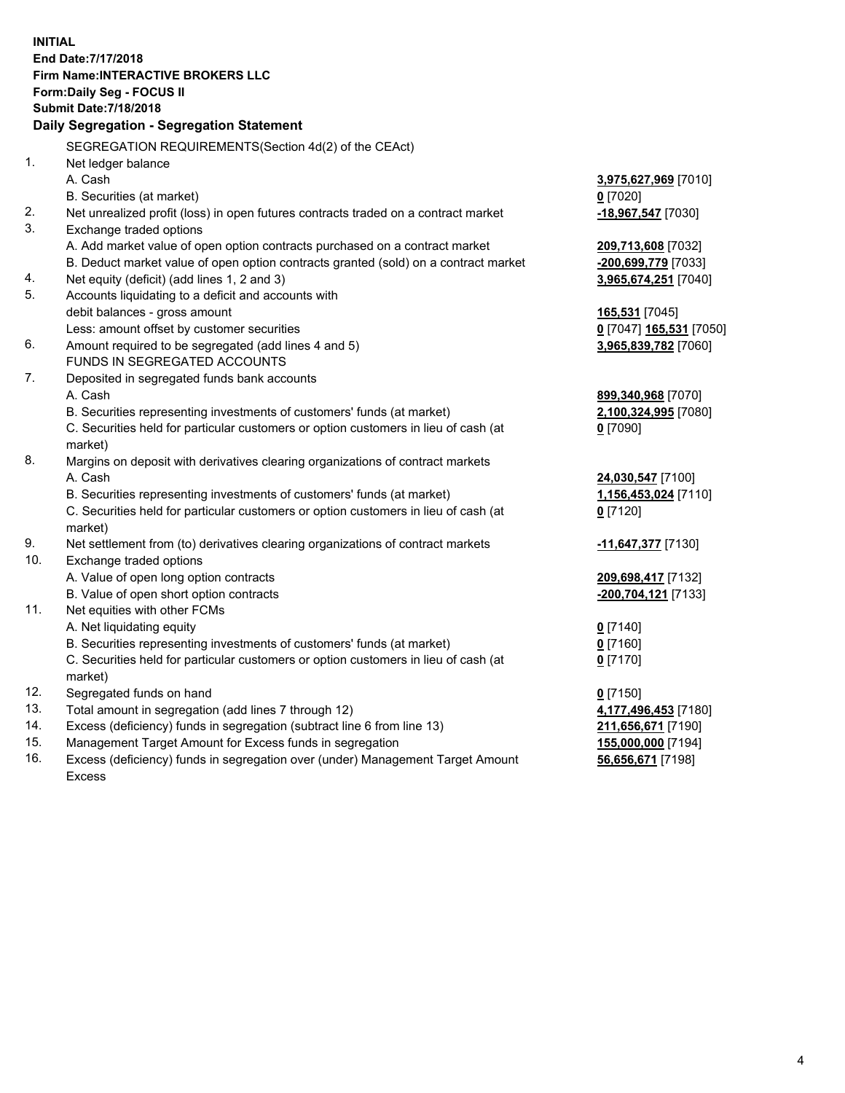**INITIAL End Date:7/17/2018 Firm Name:INTERACTIVE BROKERS LLC Form:Daily Seg - FOCUS II Submit Date:7/18/2018 Daily Segregation - Segregation Statement** SEGREGATION REQUIREMENTS(Section 4d(2) of the CEAct) 1. Net ledger balance A. Cash **3,975,627,969** [7010] B. Securities (at market) **0** [7020] 2. Net unrealized profit (loss) in open futures contracts traded on a contract market **-18,967,547** [7030] 3. Exchange traded options A. Add market value of open option contracts purchased on a contract market **209,713,608** [7032] B. Deduct market value of open option contracts granted (sold) on a contract market **-200,699,779** [7033] 4. Net equity (deficit) (add lines 1, 2 and 3) **3,965,674,251** [7040] 5. Accounts liquidating to a deficit and accounts with debit balances - gross amount **165,531** [7045] Less: amount offset by customer securities **0** [7047] **165,531** [7050] 6. Amount required to be segregated (add lines 4 and 5) **3,965,839,782** [7060] FUNDS IN SEGREGATED ACCOUNTS 7. Deposited in segregated funds bank accounts A. Cash **899,340,968** [7070] B. Securities representing investments of customers' funds (at market) **2,100,324,995** [7080] C. Securities held for particular customers or option customers in lieu of cash (at market) **0** [7090] 8. Margins on deposit with derivatives clearing organizations of contract markets A. Cash **24,030,547** [7100] B. Securities representing investments of customers' funds (at market) **1,156,453,024** [7110] C. Securities held for particular customers or option customers in lieu of cash (at market) **0** [7120] 9. Net settlement from (to) derivatives clearing organizations of contract markets **-11,647,377** [7130] 10. Exchange traded options A. Value of open long option contracts **209,698,417** [7132] B. Value of open short option contracts **-200,704,121** [7133] 11. Net equities with other FCMs A. Net liquidating equity **0** [7140] B. Securities representing investments of customers' funds (at market) **0** [7160] C. Securities held for particular customers or option customers in lieu of cash (at market) **0** [7170] 12. Segregated funds on hand **0** [7150] 13. Total amount in segregation (add lines 7 through 12) **4,177,496,453** [7180] 14. Excess (deficiency) funds in segregation (subtract line 6 from line 13) **211,656,671** [7190] 15. Management Target Amount for Excess funds in segregation **155,000,000** [7194]

16. Excess (deficiency) funds in segregation over (under) Management Target Amount Excess

**56,656,671** [7198]